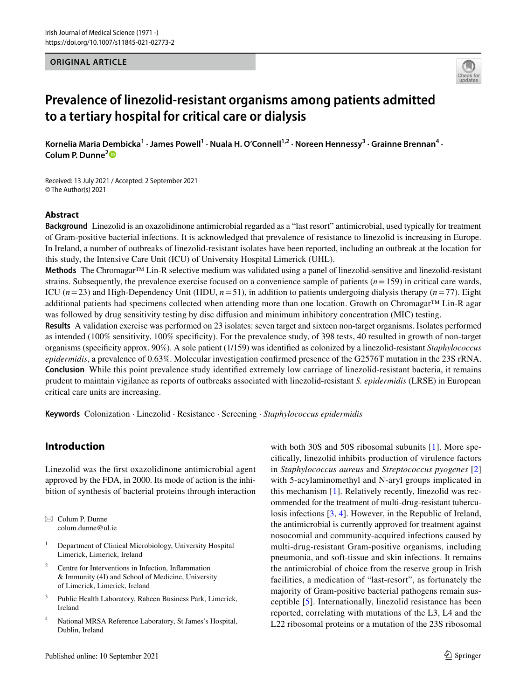#### **ORIGINAL ARTICLE**



# **Prevalence of linezolid‑resistant organisms among patients admitted to a tertiary hospital for critical care or dialysis**

Kornelia Maria Dembicka<sup>1</sup> · James Powell<sup>1</sup> · Nuala H. O'Connell<sup>1,2</sup> · Noreen Hennessy<sup>3</sup> · Grainne Brennan<sup>4</sup> · **Colum P. Dunne[2](http://orcid.org/0000-0002-5010-3185)**

Received: 13 July 2021 / Accepted: 2 September 2021 © The Author(s) 2021

#### **Abstract**

**Background** Linezolid is an oxazolidinone antimicrobial regarded as a "last resort" antimicrobial, used typically for treatment of Gram-positive bacterial infections. It is acknowledged that prevalence of resistance to linezolid is increasing in Europe. In Ireland, a number of outbreaks of linezolid-resistant isolates have been reported, including an outbreak at the location for this study, the Intensive Care Unit (ICU) of University Hospital Limerick (UHL).

**Methods** The Chromagar™ Lin-R selective medium was validated using a panel of linezolid-sensitive and linezolid-resistant strains. Subsequently, the prevalence exercise focused on a convenience sample of patients  $(n=159)$  in critical care wards, ICU  $(n=23)$  and High-Dependency Unit (HDU,  $n=51$ ), in addition to patients undergoing dialysis therapy  $(n=77)$ . Eight additional patients had specimens collected when attending more than one location. Growth on Chromagar™ Lin-R agar was followed by drug sensitivity testing by disc difusion and minimum inhibitory concentration (MIC) testing.

**Results** A validation exercise was performed on 23 isolates: seven target and sixteen non-target organisms. Isolates performed as intended (100% sensitivity, 100% specifcity). For the prevalence study, of 398 tests, 40 resulted in growth of non-target organisms (specifcity approx. 90%). A sole patient (1/159) was identifed as colonized by a linezolid-resistant *Staphylococcus epidermidis*, a prevalence of 0.63%. Molecular investigation confrmed presence of the G2576T mutation in the 23S rRNA. **Conclusion** While this point prevalence study identifed extremely low carriage of linezolid-resistant bacteria, it remains prudent to maintain vigilance as reports of outbreaks associated with linezolid-resistant *S. epidermidis* (LRSE) in European critical care units are increasing.

**Keywords** Colonization · Linezolid · Resistance · Screening · *Staphylococcus epidermidis*

## **Introduction**

Linezolid was the frst oxazolidinone antimicrobial agent approved by the FDA, in 2000. Its mode of action is the inhibition of synthesis of bacterial proteins through interaction

 $\boxtimes$  Colum P. Dunne colum.dunne@ul.ie

- <sup>1</sup> Department of Clinical Microbiology, University Hospital Limerick, Limerick, Ireland
- <sup>2</sup> Centre for Interventions in Infection, Infammation & Immunity (4I) and School of Medicine, University of Limerick, Limerick, Ireland
- <sup>3</sup> Public Health Laboratory, Raheen Business Park, Limerick, Ireland
- <sup>4</sup> National MRSA Reference Laboratory, St James's Hospital, Dublin, Ireland

with both 30S and 50S ribosomal subunits [[1](#page-4-0)]. More specifcally, linezolid inhibits production of virulence factors in *Staphylococcus aureus* and *Streptococcus pyogenes* [[2\]](#page-4-1) with 5-acylaminomethyl and N-aryl groups implicated in this mechanism [\[1](#page-4-0)]. Relatively recently, linezolid was recommended for the treatment of multi-drug-resistant tuberculosis infections [[3,](#page-4-2) [4](#page-4-3)]. However, in the Republic of Ireland, the antimicrobial is currently approved for treatment against nosocomial and community-acquired infections caused by multi-drug-resistant Gram-positive organisms, including pneumonia, and soft-tissue and skin infections. It remains the antimicrobial of choice from the reserve group in Irish facilities, a medication of "last-resort", as fortunately the majority of Gram-positive bacterial pathogens remain susceptible [\[5](#page-5-0)]. Internationally, linezolid resistance has been reported, correlating with mutations of the L3, L4 and the L22 ribosomal proteins or a mutation of the 23S ribosomal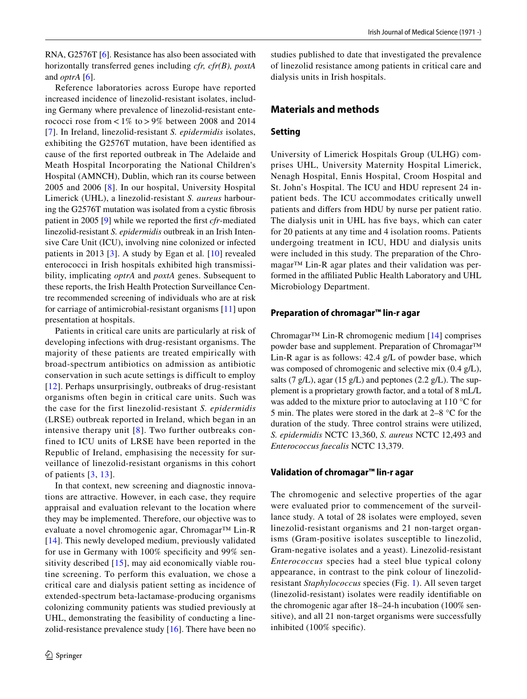RNA, G2576T [\[6](#page-5-1)]. Resistance has also been associated with horizontally transferred genes including *cfr, cfr(B), poxtA* and *optrA* [[6\]](#page-5-1).

Reference laboratories across Europe have reported increased incidence of linezolid-resistant isolates, including Germany where prevalence of linezolid-resistant enterococci rose from  $< 1\%$  to  $> 9\%$  between 2008 and 2014 [[7\]](#page-5-2). In Ireland, linezolid-resistant *S. epidermidis* isolates, exhibiting the G2576T mutation, have been identifed as cause of the frst reported outbreak in The Adelaide and Meath Hospital Incorporating the National Children's Hospital (AMNCH), Dublin, which ran its course between 2005 and 2006 [[8\]](#page-5-3). In our hospital, University Hospital Limerick (UHL), a linezolid-resistant *S. aureus* harbouring the G2576T mutation was isolated from a cystic fbrosis patient in 2005 [[9\]](#page-5-4) while we reported the frst *cfr*-mediated linezolid-resistant *S. epidermidis* outbreak in an Irish Intensive Care Unit (ICU), involving nine colonized or infected patients in 2013 [\[3](#page-4-2)]. A study by Egan et al*.* [[10](#page-5-5)] revealed enterococci in Irish hospitals exhibited high transmissibility, implicating *optrA* and *poxtA* genes. Subsequent to these reports, the Irish Health Protection Surveillance Centre recommended screening of individuals who are at risk for carriage of antimicrobial-resistant organisms [[11](#page-5-6)] upon presentation at hospitals.

Patients in critical care units are particularly at risk of developing infections with drug-resistant organisms. The majority of these patients are treated empirically with broad-spectrum antibiotics on admission as antibiotic conservation in such acute settings is difficult to employ [[12](#page-5-7)]. Perhaps unsurprisingly, outbreaks of drug-resistant organisms often begin in critical care units. Such was the case for the first linezolid-resistant *S. epidermidis* (LRSE) outbreak reported in Ireland, which began in an intensive therapy unit  $[8]$  $[8]$  $[8]$ . Two further outbreaks confined to ICU units of LRSE have been reported in the Republic of Ireland, emphasising the necessity for surveillance of linezolid-resistant organisms in this cohort of patients [\[3,](#page-4-2) [13\]](#page-5-8).

In that context, new screening and diagnostic innovations are attractive. However, in each case, they require appraisal and evaluation relevant to the location where they may be implemented. Therefore, our objective was to evaluate a novel chromogenic agar, Chromagar™ Lin-R [[14\]](#page-5-9). This newly developed medium, previously validated for use in Germany with 100% specifcity and 99% sensitivity described [[15](#page-5-10)], may aid economically viable routine screening. To perform this evaluation, we chose a critical care and dialysis patient setting as incidence of extended-spectrum beta-lactamase-producing organisms colonizing community patients was studied previously at UHL, demonstrating the feasibility of conducting a linezolid-resistance prevalence study [[16\]](#page-5-11). There have been no studies published to date that investigated the prevalence of linezolid resistance among patients in critical care and dialysis units in Irish hospitals.

## **Materials and methods**

#### **Setting**

University of Limerick Hospitals Group (ULHG) comprises UHL, University Maternity Hospital Limerick, Nenagh Hospital, Ennis Hospital, Croom Hospital and St. John's Hospital. The ICU and HDU represent 24 inpatient beds. The ICU accommodates critically unwell patients and difers from HDU by nurse per patient ratio. The dialysis unit in UHL has fve bays, which can cater for 20 patients at any time and 4 isolation rooms. Patients undergoing treatment in ICU, HDU and dialysis units were included in this study. The preparation of the Chromagar™ Lin-R agar plates and their validation was performed in the affiliated Public Health Laboratory and UHL Microbiology Department.

#### **Preparation of chromagar™ lin‑r agar**

Chromagar<sup>™</sup> Lin-R chromogenic medium  $[14]$  $[14]$  comprises powder base and supplement. Preparation of Chromagar™ Lin-R agar is as follows: 42.4 g/L of powder base, which was composed of chromogenic and selective mix (0.4 g/L), salts (7 g/L), agar (15 g/L) and peptones (2.2 g/L). The supplement is a proprietary growth factor, and a total of 8 mL/L was added to the mixture prior to autoclaving at 110 °C for 5 min. The plates were stored in the dark at 2–8 °C for the duration of the study. Three control strains were utilized, *S. epidermidis* NCTC 13,360, *S. aureus* NCTC 12,493 and *Enterococcus faecalis* NCTC 13,379.

## **Validation of chromagar™ lin‑r agar**

The chromogenic and selective properties of the agar were evaluated prior to commencement of the surveillance study. A total of 28 isolates were employed, seven linezolid-resistant organisms and 21 non-target organisms (Gram-positive isolates susceptible to linezolid, Gram-negative isolates and a yeast). Linezolid-resistant *Enterococcus* species had a steel blue typical colony appearance, in contrast to the pink colour of linezolidresistant *Staphylococcus* species (Fig. [1\)](#page-2-0). All seven target (linezolid-resistant) isolates were readily identifable on the chromogenic agar after 18–24-h incubation (100% sensitive), and all 21 non-target organisms were successfully inhibited (100% specifc).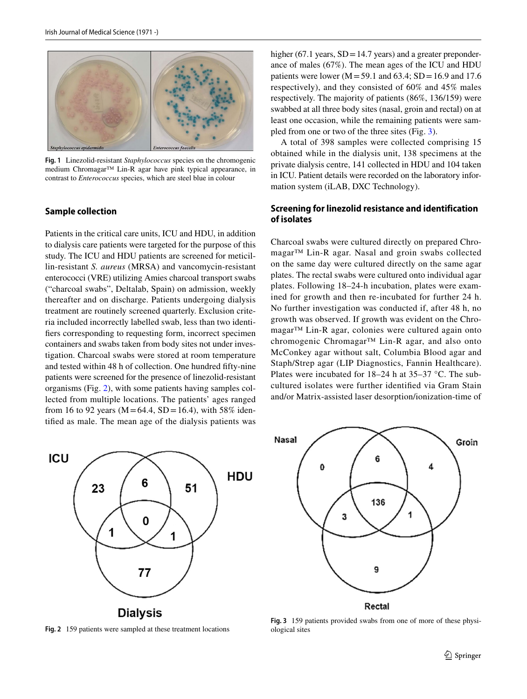

<span id="page-2-0"></span>**Fig. 1** Linezolid-resistant *Staphylococcus* species on the chromogenic medium Chromagar™ Lin-R agar have pink typical appearance, in contrast to *Enterococcus* species, which are steel blue in colour

#### **Sample collection**

Patients in the critical care units, ICU and HDU, in addition to dialysis care patients were targeted for the purpose of this study. The ICU and HDU patients are screened for meticillin-resistant *S. aureus* (MRSA) and vancomycin-resistant enterococci (VRE) utilizing Amies charcoal transport swabs ("charcoal swabs", Deltalab, Spain) on admission, weekly thereafter and on discharge. Patients undergoing dialysis treatment are routinely screened quarterly. Exclusion criteria included incorrectly labelled swab, less than two identifers corresponding to requesting form, incorrect specimen containers and swabs taken from body sites not under investigation. Charcoal swabs were stored at room temperature and tested within 48 h of collection. One hundred ffty-nine patients were screened for the presence of linezolid-resistant organisms (Fig. [2\)](#page-2-1), with some patients having samples collected from multiple locations. The patients' ages ranged from 16 to 92 years ( $M = 64.4$ , SD = 16.4), with 58% identifed as male. The mean age of the dialysis patients was



<span id="page-2-1"></span>**Fig. 2** 159 patients were sampled at these treatment locations

higher (67.1 years, SD = 14.7 years) and a greater preponderance of males (67%). The mean ages of the ICU and HDU patients were lower ( $M = 59.1$  and  $63.4$ ;  $SD = 16.9$  and 17.6 respectively), and they consisted of 60% and 45% males respectively. The majority of patients (86%, 136/159) were swabbed at all three body sites (nasal, groin and rectal) on at least one occasion, while the remaining patients were sampled from one or two of the three sites (Fig. [3\)](#page-2-2).

A total of 398 samples were collected comprising 15 obtained while in the dialysis unit, 138 specimens at the private dialysis centre, 141 collected in HDU and 104 taken in ICU. Patient details were recorded on the laboratory information system (iLAB, DXC Technology).

## **Screening for linezolid resistance and identification of isolates**

Charcoal swabs were cultured directly on prepared Chromagar™ Lin-R agar. Nasal and groin swabs collected on the same day were cultured directly on the same agar plates. The rectal swabs were cultured onto individual agar plates. Following 18–24-h incubation, plates were examined for growth and then re-incubated for further 24 h. No further investigation was conducted if, after 48 h, no growth was observed. If growth was evident on the Chromagar™ Lin-R agar, colonies were cultured again onto chromogenic Chromagar™ Lin-R agar, and also onto McConkey agar without salt, Columbia Blood agar and Staph/Strep agar (LIP Diagnostics, Fannin Healthcare). Plates were incubated for 18–24 h at 35–37 °C. The subcultured isolates were further identifed via Gram Stain and/or Matrix-assisted laser desorption/ionization-time of



<span id="page-2-2"></span>**Fig. 3** 159 patients provided swabs from one of more of these physiological sites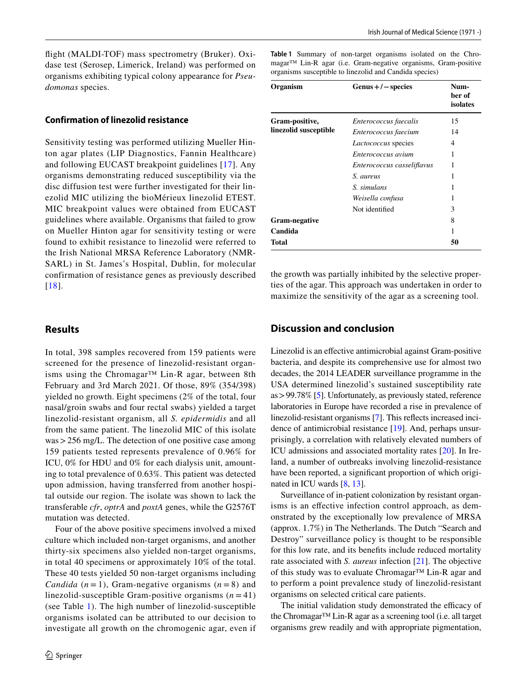fight (MALDI-TOF) mass spectrometry (Bruker). Oxidase test (Serosep, Limerick, Ireland) was performed on organisms exhibiting typical colony appearance for *Pseudomonas* species.

## **Confirmation of linezolid resistance**

Sensitivity testing was performed utilizing Mueller Hinton agar plates (LIP Diagnostics, Fannin Healthcare) and following EUCAST breakpoint guidelines [[17\]](#page-5-12). Any organisms demonstrating reduced susceptibility via the disc diffusion test were further investigated for their linezolid MIC utilizing the bioMérieux linezolid ETEST. MIC breakpoint values were obtained from EUCAST guidelines where available. Organisms that failed to grow on Mueller Hinton agar for sensitivity testing or were found to exhibit resistance to linezolid were referred to the Irish National MRSA Reference Laboratory (NMR-SARL) in St. James's Hospital, Dublin, for molecular confirmation of resistance genes as previously described [[18](#page-5-13)].

## **Results**

In total, 398 samples recovered from 159 patients were screened for the presence of linezolid-resistant organisms using the Chromagar™ Lin-R agar, between 8th February and 3rd March 2021. Of those, 89% (354/398) yielded no growth. Eight specimens (2% of the total, four nasal/groin swabs and four rectal swabs) yielded a target linezolid-resistant organism, all *S. epidermidis* and all from the same patient. The linezolid MIC of this isolate was>256 mg/L. The detection of one positive case among 159 patients tested represents prevalence of 0.96% for ICU, 0% for HDU and 0% for each dialysis unit, amounting to total prevalence of 0.63%. This patient was detected upon admission, having transferred from another hospital outside our region. The isolate was shown to lack the transferable *cfr*, *optrA* and *poxtA* genes, while the G2576T mutation was detected.

Four of the above positive specimens involved a mixed culture which included non-target organisms, and another thirty-six specimens also yielded non-target organisms, in total 40 specimens or approximately 10% of the total. These 40 tests yielded 50 non-target organisms including *Candida*  $(n = 1)$ , Gram-negative organisms  $(n = 8)$  and linezolid-susceptible Gram-positive organisms  $(n=41)$ (see Table [1](#page-3-0)). The high number of linezolid-susceptible organisms isolated can be attributed to our decision to investigate all growth on the chromogenic agar, even if

<span id="page-3-0"></span>**Table 1** Summary of non-target organisms isolated on the Chromagar™ Lin-R agar (i.e. Gram-negative organisms, Gram-positive organisms susceptible to linezolid and Candida species)

| Organism                                | $Genus + / - species$      | Num-<br>ber of<br>isolates |
|-----------------------------------------|----------------------------|----------------------------|
| Gram-positive,<br>linezolid susceptible | Enterococcus faecalis      | 15                         |
|                                         | Enterococcus faecium       | 14                         |
|                                         | <i>Lactococcus</i> species | 4                          |
|                                         | Enterococcus avium         | 1                          |
|                                         | Enterococcus casseliflavus |                            |
|                                         | S. aureus                  | 1                          |
|                                         | S. simulans                | 1                          |
|                                         | Weisella confusa           |                            |
|                                         | Not identified             | 3                          |
| Gram-negative                           |                            | 8                          |
| Candida                                 |                            | 1                          |
| Total                                   |                            | 50                         |

the growth was partially inhibited by the selective properties of the agar. This approach was undertaken in order to maximize the sensitivity of the agar as a screening tool.

## **Discussion and conclusion**

Linezolid is an efective antimicrobial against Gram-positive bacteria, and despite its comprehensive use for almost two decades, the 2014 LEADER surveillance programme in the USA determined linezolid's sustained susceptibility rate as>99.78% [[5\]](#page-5-0). Unfortunately, as previously stated, reference laboratories in Europe have recorded a rise in prevalence of linezolid-resistant organisms [\[7](#page-5-2)]. This reflects increased incidence of antimicrobial resistance [\[19](#page-5-14)]. And, perhaps unsurprisingly, a correlation with relatively elevated numbers of ICU admissions and associated mortality rates [[20](#page-5-15)]. In Ireland, a number of outbreaks involving linezolid-resistance have been reported, a signifcant proportion of which originated in ICU wards [\[8](#page-5-3), [13\]](#page-5-8).

Surveillance of in-patient colonization by resistant organisms is an effective infection control approach, as demonstrated by the exceptionally low prevalence of MRSA (approx. 1.7%) in The Netherlands. The Dutch "Search and Destroy" surveillance policy is thought to be responsible for this low rate, and its benefts include reduced mortality rate associated with *S. aureus* infection [\[21\]](#page-5-16). The objective of this study was to evaluate Chromagar™ Lin-R agar and to perform a point prevalence study of linezolid-resistant organisms on selected critical care patients.

The initial validation study demonstrated the efficacy of the Chromagar™ Lin-R agar as a screening tool (i.e. all target organisms grew readily and with appropriate pigmentation,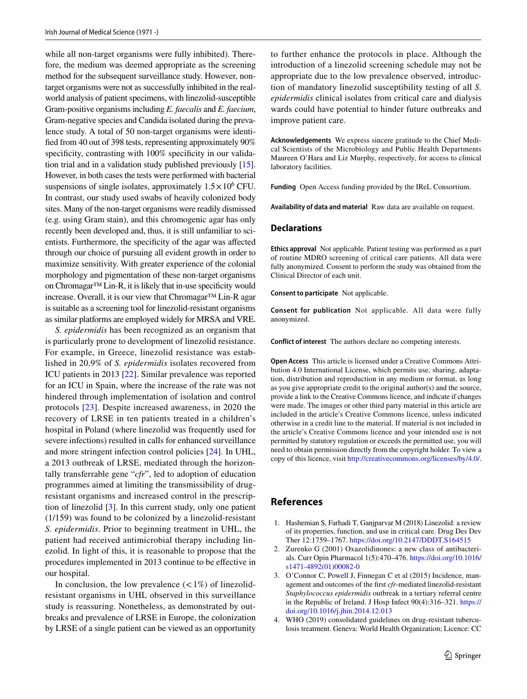while all non-target organisms were fully inhibited). Therefore, the medium was deemed appropriate as the screening method for the subsequent surveillance study. However, nontarget organisms were not as successfully inhibited in the realworld analysis of patient specimens, with linezolid-susceptible Gram-positive organisms including *E. faecalis* and *E. faecium*, Gram-negative species and Candida isolated during the prevalence study. A total of 50 non-target organisms were identifed from 40 out of 398 tests, representing approximately 90% specificity, contrasting with 100% specificity in our validation trial and in a validation study published previously [[15](#page-5-10)]. However, in both cases the tests were performed with bacterial suspensions of single isolates, approximately  $1.5 \times 10^6$  CFU. In contrast, our study used swabs of heavily colonized body sites. Many of the non-target organisms were readily dismissed (e.g. using Gram stain), and this chromogenic agar has only recently been developed and, thus, it is still unfamiliar to scientists. Furthermore, the specifcity of the agar was afected through our choice of pursuing all evident growth in order to maximize sensitivity. With greater experience of the colonial morphology and pigmentation of these non-target organisms on Chromagar™ Lin-R, it is likely that in-use specifcity would increase. Overall, it is our view that Chromagar™ Lin-R agar is suitable as a screening tool for linezolid-resistant organisms as similar platforms are employed widely for MRSA and VRE.

*S. epidermidis* has been recognized as an organism that is particularly prone to development of linezolid resistance. For example, in Greece, linezolid resistance was established in 20.9% of *S. epidermidis* isolates recovered from ICU patients in 2013 [[22](#page-5-17)]. Similar prevalence was reported for an ICU in Spain, where the increase of the rate was not hindered through implementation of isolation and control protocols [\[23\]](#page-5-18). Despite increased awareness, in 2020 the recovery of LRSE in ten patients treated in a children's hospital in Poland (where linezolid was frequently used for severe infections) resulted in calls for enhanced surveillance and more stringent infection control policies [\[24](#page-5-19)]. In UHL, a 2013 outbreak of LRSE, mediated through the horizontally transferrable gene "*cfr*", led to adoption of education programmes aimed at limiting the transmissibility of drugresistant organisms and increased control in the prescription of linezolid [[3\]](#page-4-2). In this current study, only one patient (1/159) was found to be colonized by a linezolid-resistant *S. epidermidis*. Prior to beginning treatment in UHL, the patient had received antimicrobial therapy including linezolid. In light of this, it is reasonable to propose that the procedures implemented in 2013 continue to be efective in our hospital.

In conclusion, the low prevalence  $\left($  < 1%) of linezolidresistant organisms in UHL observed in this surveillance study is reassuring. Nonetheless, as demonstrated by outbreaks and prevalence of LRSE in Europe, the colonization by LRSE of a single patient can be viewed as an opportunity to further enhance the protocols in place. Although the introduction of a linezolid screening schedule may not be appropriate due to the low prevalence observed, introduction of mandatory linezolid susceptibility testing of all *S. epidermidis* clinical isolates from critical care and dialysis wards could have potential to hinder future outbreaks and improve patient care.

**Acknowledgements** We express sincere gratitude to the Chief Medical Scientists of the Microbiology and Public Health Departments Maureen O'Hara and Liz Murphy, respectively, for access to clinical laboratory facilities.

**Funding** Open Access funding provided by the IReL Consortium.

**Availability of data and material** Raw data are available on request.

#### **Declarations**

**Ethics approval** Not applicable. Patient testing was performed as a part of routine MDRO screening of critical care patients. All data were fully anonymized. Consent to perform the study was obtained from the Clinical Director of each unit.

**Consent to participate** Not applicable.

**Consent for publication** Not applicable. All data were fully anonymized.

**Conflict of interest** The authors declare no competing interests.

**Open Access** This article is licensed under a Creative Commons Attribution 4.0 International License, which permits use, sharing, adaptation, distribution and reproduction in any medium or format, as long as you give appropriate credit to the original author(s) and the source, provide a link to the Creative Commons licence, and indicate if changes were made. The images or other third party material in this article are included in the article's Creative Commons licence, unless indicated otherwise in a credit line to the material. If material is not included in the article's Creative Commons licence and your intended use is not permitted by statutory regulation or exceeds the permitted use, you will need to obtain permission directly from the copyright holder. To view a copy of this licence, visit<http://creativecommons.org/licenses/by/4.0/>.

#### **References**

- <span id="page-4-0"></span>1. Hashemian S, Farhadi T, Ganjparvar M (2018) Linezolid: a review of its properties, function, and use in critical care. Drug Des Dev Ther 12:1759–1767.<https://doi.org/10.2147/DDDT.S164515>
- <span id="page-4-1"></span>2. Zurenko G (2001) Oxazolidinones: a new class of antibacterials. Curr Opin Pharmacol 1(5):470–476. [https://doi.org/10.1016/](https://doi.org/10.1016/s1471-4892(01)00082-0) [s1471-4892\(01\)00082-0](https://doi.org/10.1016/s1471-4892(01)00082-0)
- <span id="page-4-2"></span>3. O'Connor C, Powell J, Finnegan C et al (2015) Incidence, management and outcomes of the frst *cfr*-mediated linezolid-resistant *Staphylococcus epidermidis* outbreak in a tertiary referral centre in the Republic of Ireland. J Hosp Infect 90(4):316–321. [https://](https://doi.org/10.1016/j.jhin.2014.12.013) [doi.org/10.1016/j.jhin.2014.12.013](https://doi.org/10.1016/j.jhin.2014.12.013)
- <span id="page-4-3"></span>4. WHO (2019) consolidated guidelines on drug-resistant tuberculosis treatment. Geneva: World Health Organization; Licence: CC